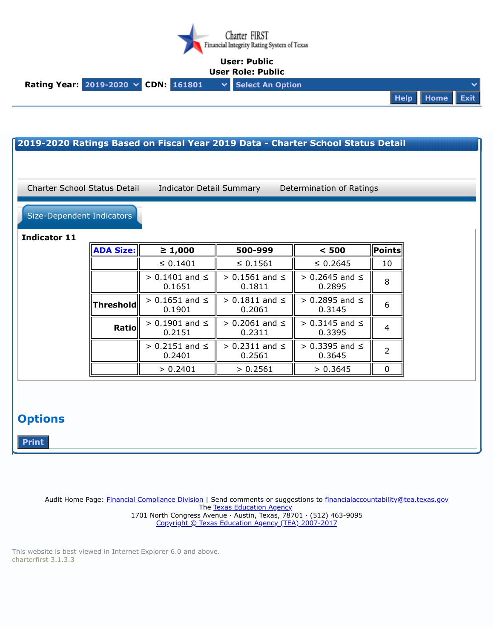

## **User: Public**



| Size-Dependent Indicators<br><b>Indicator 11</b> |                  |                                |                                |                                 |                |
|--------------------------------------------------|------------------|--------------------------------|--------------------------------|---------------------------------|----------------|
|                                                  | <b>ADA Size:</b> | $\geq 1,000$                   | 500-999                        | < 500                           | <b>Points</b>  |
|                                                  |                  | $\leq 0.1401$                  | $\leq 0.1561$                  | $\leq 0.2645$                   | 10             |
|                                                  |                  | $> 0.1401$ and $\le$<br>0.1651 | $> 0.1561$ and $\le$<br>0.1811 | $> 0.2645$ and $\le$<br>0.2895  | 8              |
|                                                  | <b>Threshold</b> | $> 0.1651$ and $\le$<br>0.1901 | $> 0.1811$ and $\le$<br>0.2061 | $> 0.2895$ and $\leq$<br>0.3145 | 6              |
|                                                  | Ratio            | $> 0.1901$ and $\le$<br>0.2151 | $> 0.2061$ and $\le$<br>0.2311 | $> 0.3145$ and $\le$<br>0.3395  | 4              |
|                                                  |                  | $> 0.2151$ and $\le$<br>0.2401 | $> 0.2311$ and $\le$<br>0.2561 | $> 0.3395$ and $\le$<br>0.3645  | $\overline{2}$ |
|                                                  |                  | > 0.2401                       | > 0.2561                       | > 0.3645                        | $\mathbf 0$    |

Audit Home Page: Financial [Compliance](https://tea.texas.gov/Finance_and_Grants/Financial_Accountability/) Division | Send comments or suggestions to [financialaccountability@tea.texas.gov](mailto:financialaccountability@tea.texas.gov) The Texas [Education](http://tea.texas.gov/) Agency 1701 North Congress Avenue · Austin, Texas, 78701 · (512) 463-9095 Copyright © Texas Education Agency (TEA) [2007-2017](https://tea.texas.gov/About_TEA/Welcome_and_Overview/Site_Policies/)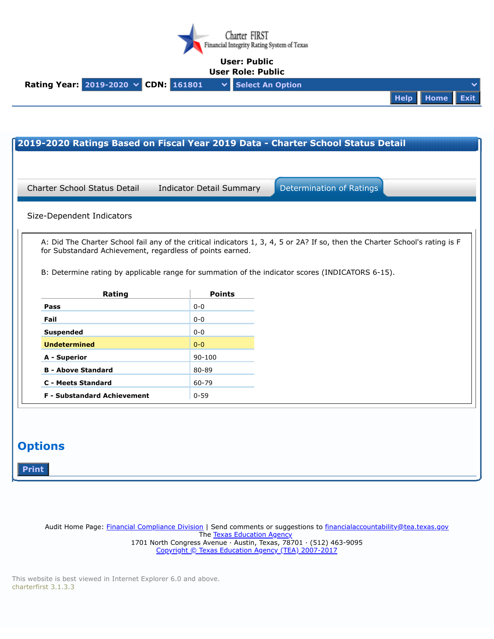

## **User: Public User Role: Public**

| USCI NUIC. FUDIIL                                                     |  |  |                |  |  |
|-----------------------------------------------------------------------|--|--|----------------|--|--|
| Rating Year: 2019-2020 $\times$ CDN: 161801 $\times$ Select An Option |  |  |                |  |  |
|                                                                       |  |  | Help Home Exit |  |  |

| Size-Dependent Indicators |        |                                                           | A: Did The Charter School fail any of the critical indicators 1, 3, 4, 5 or 2A? If so, then the Charter School's rating is F |
|---------------------------|--------|-----------------------------------------------------------|------------------------------------------------------------------------------------------------------------------------------|
|                           |        | for Substandard Achievement, regardless of points earned. |                                                                                                                              |
|                           |        |                                                           | B: Determine rating by applicable range for summation of the indicator scores (INDICATORS 6-15).                             |
|                           | Rating | <b>Points</b>                                             |                                                                                                                              |
| Pass                      |        | $0 - 0$                                                   |                                                                                                                              |
| Fail                      |        | $0-0$                                                     |                                                                                                                              |
| <b>Suspended</b>          |        | $0 - 0$                                                   |                                                                                                                              |
| <b>Undetermined</b>       |        | $0 - 0$                                                   |                                                                                                                              |
|                           |        | 90-100                                                    |                                                                                                                              |
| A - Superior              |        | 80-89                                                     |                                                                                                                              |
| <b>B - Above Standard</b> |        |                                                           |                                                                                                                              |
| <b>C</b> - Meets Standard |        | 60-79                                                     |                                                                                                                              |

Audit Home Page: Financial [Compliance](https://tea.texas.gov/Finance_and_Grants/Financial_Accountability/) Division | Send comments or suggestions to [financialaccountability@tea.texas.gov](mailto:financialaccountability@tea.texas.gov) The Texas [Education](http://tea.texas.gov/) Agency 1701 North Congress Avenue · Austin, Texas, 78701 · (512) 463-9095 Copyright © Texas Education Agency (TEA) [2007-2017](https://tea.texas.gov/About_TEA/Welcome_and_Overview/Site_Policies/)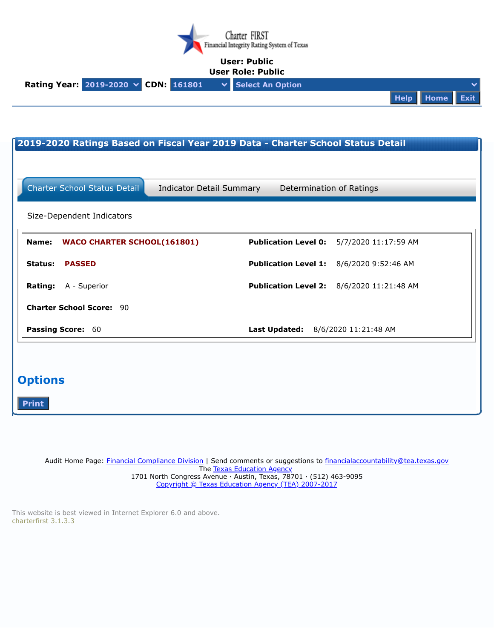

## **User: Public**



| 2019-2020 Ratings Based on Fiscal Year 2019 Data - Charter School Status Detail |                                                     |  |  |  |
|---------------------------------------------------------------------------------|-----------------------------------------------------|--|--|--|
|                                                                                 |                                                     |  |  |  |
| <b>Charter School Status Detail</b><br><b>Indicator Detail Summary</b>          | Determination of Ratings                            |  |  |  |
| Size-Dependent Indicators                                                       |                                                     |  |  |  |
| <b>WACO CHARTER SCHOOL(161801)</b><br>Name:                                     | <b>Publication Level 0:</b><br>5/7/2020 11:17:59 AM |  |  |  |
| <b>Status:</b><br><b>PASSED</b>                                                 | <b>Publication Level 1:</b><br>8/6/2020 9:52:46 AM  |  |  |  |
| Rating:<br>A - Superior                                                         | <b>Publication Level 2:</b><br>8/6/2020 11:21:48 AM |  |  |  |
| <b>Charter School Score: 90</b>                                                 |                                                     |  |  |  |
| Passing Score: 60                                                               | Last Updated: 8/6/2020 11:21:48 AM                  |  |  |  |
|                                                                                 |                                                     |  |  |  |
| <b>Options</b>                                                                  |                                                     |  |  |  |
| <b>Print</b>                                                                    |                                                     |  |  |  |

Audit Home Page: Financial [Compliance](https://tea.texas.gov/Finance_and_Grants/Financial_Accountability/) Division | Send comments or suggestions to [financialaccountability@tea.texas.gov](mailto:financialaccountability@tea.texas.gov) The Texas [Education](http://tea.texas.gov/) Agency 1701 North Congress Avenue · Austin, Texas, 78701 · (512) 463-9095 Copyright © Texas Education Agency (TEA) [2007-2017](https://tea.texas.gov/About_TEA/Welcome_and_Overview/Site_Policies/)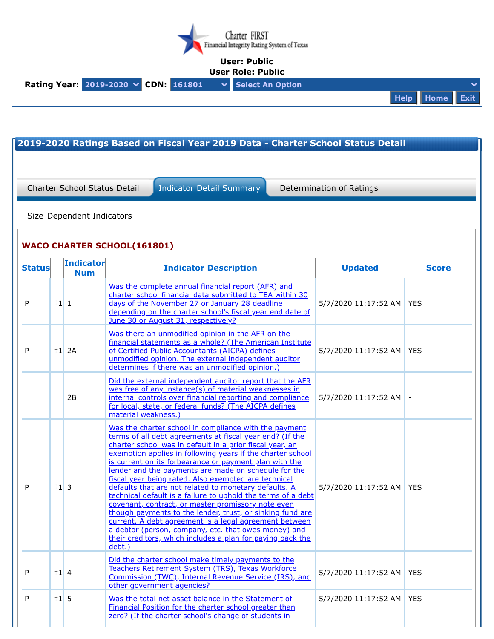

## **User: Public**



|               |           | <b>Charter School Status Detail</b><br>Size-Dependent Indicators | <b>Indicator Detail Summary</b>                                                                                                                                                                                                                                                                                                                                                                                                                                                                                                                                                                                                                                                                                                                                                                                                                             | Determination of Ratings   |              |
|---------------|-----------|------------------------------------------------------------------|-------------------------------------------------------------------------------------------------------------------------------------------------------------------------------------------------------------------------------------------------------------------------------------------------------------------------------------------------------------------------------------------------------------------------------------------------------------------------------------------------------------------------------------------------------------------------------------------------------------------------------------------------------------------------------------------------------------------------------------------------------------------------------------------------------------------------------------------------------------|----------------------------|--------------|
|               |           |                                                                  | <b>WACO CHARTER SCHOOL(161801)</b>                                                                                                                                                                                                                                                                                                                                                                                                                                                                                                                                                                                                                                                                                                                                                                                                                          |                            |              |
| <b>Status</b> |           | <b>Indicator</b><br><b>Num</b>                                   | <b>Indicator Description</b>                                                                                                                                                                                                                                                                                                                                                                                                                                                                                                                                                                                                                                                                                                                                                                                                                                | <b>Updated</b>             | <b>Score</b> |
| P             | $+1$ 1    |                                                                  | Was the complete annual financial report (AFR) and<br>charter school financial data submitted to TEA within 30<br>days of the November 27 or January 28 deadline<br>depending on the charter school's fiscal year end date of<br>June 30 or August 31, respectively?                                                                                                                                                                                                                                                                                                                                                                                                                                                                                                                                                                                        | 5/7/2020 11:17:52 AM       | <b>YES</b>   |
| P             |           | $+1$ 2A                                                          | Was there an unmodified opinion in the AFR on the<br>financial statements as a whole? (The American Institute<br>of Certified Public Accountants (AICPA) defines<br>unmodified opinion. The external independent auditor<br>determines if there was an unmodified opinion.)                                                                                                                                                                                                                                                                                                                                                                                                                                                                                                                                                                                 | 5/7/2020 11:17:52 AM       | <b>YES</b>   |
|               |           | 2B                                                               | Did the external independent auditor report that the AFR<br>was free of any instance(s) of material weaknesses in<br>internal controls over financial reporting and compliance<br>for local, state, or federal funds? (The AICPA defines<br>material weakness.)                                                                                                                                                                                                                                                                                                                                                                                                                                                                                                                                                                                             | 5/7/2020 11:17:52 AM -     |              |
| P             | $+1$ 3    |                                                                  | Was the charter school in compliance with the payment<br>terms of all debt agreements at fiscal year end? (If the<br>charter school was in default in a prior fiscal year, an<br>exemption applies in following years if the charter school<br>is current on its forbearance or payment plan with the<br>lender and the payments are made on schedule for the<br>fiscal year being rated. Also exempted are technical<br>defaults that are not related to monetary defaults. A<br>technical default is a failure to uphold the terms of a debt<br>covenant, contract, or master promissory note even<br>though payments to the lender, trust, or sinking fund are<br>current. A debt agreement is a legal agreement between<br>a debtor (person, company, etc. that owes money) and<br>their creditors, which includes a plan for paying back the<br>debt.) | 5/7/2020 11:17:52 AM   YES |              |
| P             | $\pm 1$ 4 |                                                                  | Did the charter school make timely payments to the<br>Teachers Retirement System (TRS), Texas Workforce<br>Commission (TWC), Internal Revenue Service (IRS), and<br>other government agencies?                                                                                                                                                                                                                                                                                                                                                                                                                                                                                                                                                                                                                                                              | 5/7/2020 11:17:52 AM       | <b>YES</b>   |
| P             | $+1$ 5    |                                                                  | Was the total net asset balance in the Statement of<br>Financial Position for the charter school greater than<br>zero? (If the charter school's change of students in                                                                                                                                                                                                                                                                                                                                                                                                                                                                                                                                                                                                                                                                                       | 5/7/2020 11:17:52 AM       | <b>YES</b>   |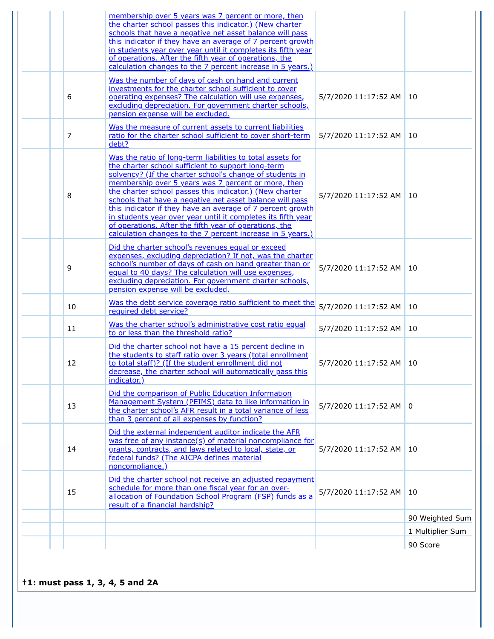|    | membership over 5 years was 7 percent or more, then<br>the charter school passes this indicator.) (New charter<br>schools that have a negative net asset balance will pass<br>this indicator if they have an average of 7 percent growth<br>in students year over year until it completes its fifth year<br>of operations. After the fifth year of operations, the<br>calculation changes to the 7 percent increase in 5 years.)                                                                                                                                                                                 |                        |                  |
|----|------------------------------------------------------------------------------------------------------------------------------------------------------------------------------------------------------------------------------------------------------------------------------------------------------------------------------------------------------------------------------------------------------------------------------------------------------------------------------------------------------------------------------------------------------------------------------------------------------------------|------------------------|------------------|
| 6  | Was the number of days of cash on hand and current<br>investments for the charter school sufficient to cover<br>operating expenses? The calculation will use expenses,<br>excluding depreciation. For government charter schools,<br>pension expense will be excluded.                                                                                                                                                                                                                                                                                                                                           | 5/7/2020 11:17:52 AM   | 10               |
| 7  | Was the measure of current assets to current liabilities<br>ratio for the charter school sufficient to cover short-term<br>debt?                                                                                                                                                                                                                                                                                                                                                                                                                                                                                 | 5/7/2020 11:17:52 AM   | 10               |
| 8  | Was the ratio of long-term liabilities to total assets for<br>the charter school sufficient to support long-term<br>solvency? (If the charter school's change of students in<br>membership over 5 years was 7 percent or more, then<br>the charter school passes this indicator.) (New charter<br>schools that have a negative net asset balance will pass<br>this indicator if they have an average of 7 percent growth<br>in students year over year until it completes its fifth year<br>of operations. After the fifth year of operations, the<br>calculation changes to the 7 percent increase in 5 years.) | 5/7/2020 11:17:52 AM   | 10               |
| 9  | Did the charter school's revenues equal or exceed<br>expenses, excluding depreciation? If not, was the charter<br>school's number of days of cash on hand greater than or<br>equal to 40 days? The calculation will use expenses,<br>excluding depreciation. For government charter schools,<br>pension expense will be excluded.                                                                                                                                                                                                                                                                                | 5/7/2020 11:17:52 AM   | 10               |
| 10 | Was the debt service coverage ratio sufficient to meet the<br>required debt service?                                                                                                                                                                                                                                                                                                                                                                                                                                                                                                                             | 5/7/2020 11:17:52 AM   | 10               |
| 11 | Was the charter school's administrative cost ratio equal<br>to or less than the threshold ratio?                                                                                                                                                                                                                                                                                                                                                                                                                                                                                                                 | 5/7/2020 11:17:52 AM   | 10               |
| 12 | Did the charter school not have a 15 percent decline in<br>the students to staff ratio over 3 years (total enrollment<br>to total staff)? (If the student enrollment did not<br>decrease, the charter school will automatically pass this<br>indicator.)                                                                                                                                                                                                                                                                                                                                                         | 5/7/2020 11:17:52 AM   | 10               |
| 13 | Did the comparison of Public Education Information<br>Management System (PEIMS) data to like information in<br>the charter school's AFR result in a total variance of less<br>than 3 percent of all expenses by function?                                                                                                                                                                                                                                                                                                                                                                                        | 5/7/2020 11:17:52 AM 0 |                  |
| 14 | Did the external independent auditor indicate the AFR<br>was free of any instance(s) of material noncompliance for<br>grants, contracts, and laws related to local, state, or<br>federal funds? (The AICPA defines material<br>noncompliance.)                                                                                                                                                                                                                                                                                                                                                                   | 5/7/2020 11:17:52 AM   | 10               |
| 15 | Did the charter school not receive an adjusted repayment<br>schedule for more than one fiscal year for an over-<br>allocation of Foundation School Program (FSP) funds as a<br>result of a financial hardship?                                                                                                                                                                                                                                                                                                                                                                                                   | 5/7/2020 11:17:52 AM   | 10               |
|    |                                                                                                                                                                                                                                                                                                                                                                                                                                                                                                                                                                                                                  |                        | 90 Weighted Sum  |
|    |                                                                                                                                                                                                                                                                                                                                                                                                                                                                                                                                                                                                                  |                        | 1 Multiplier Sum |
|    |                                                                                                                                                                                                                                                                                                                                                                                                                                                                                                                                                                                                                  |                        | 90 Score         |